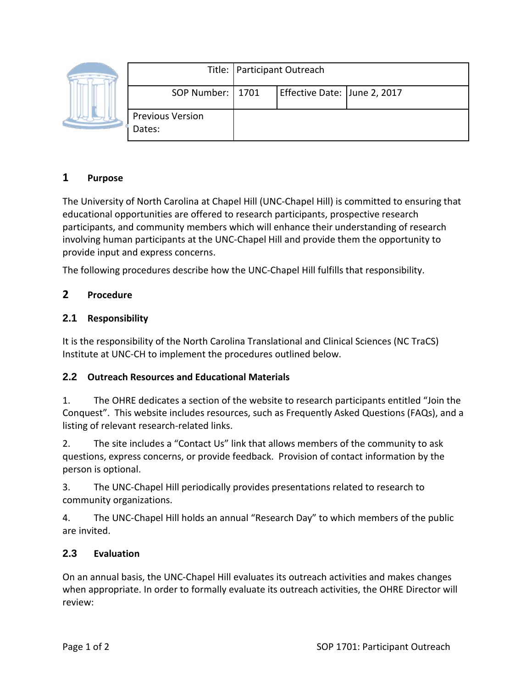|                                   | Title:   Participant Outreach |                              |  |
|-----------------------------------|-------------------------------|------------------------------|--|
| SOP Number:   1701                |                               | Effective Date: June 2, 2017 |  |
| <b>Previous Version</b><br>Dates: |                               |                              |  |

# **1 Purpose**

The University of North Carolina at Chapel Hill (UNC-Chapel Hill) is committed to ensuring that educational opportunities are offered to research participants, prospective research participants, and community members which will enhance their understanding of research involving human participants at the UNC-Chapel Hill and provide them the opportunity to provide input and express concerns.

The following procedures describe how the UNC-Chapel Hill fulfills that responsibility.

## **2 Procedure**

## **2.1 Responsibility**

It is the responsibility of the North Carolina Translational and Clinical Sciences (NC TraCS) Institute at UNC-CH to implement the procedures outlined below.

## **2.2 Outreach Resources and Educational Materials**

1. The OHRE dedicates a section of the website to research participants entitled "Join the Conquest". This website includes resources, such as Frequently Asked Questions (FAQs), and a listing of relevant research-related links.

2. The site includes a "Contact Us" link that allows members of the community to ask questions, express concerns, or provide feedback. Provision of contact information by the person is optional.

3. The UNC-Chapel Hill periodically provides presentations related to research to community organizations.

4. The UNC-Chapel Hill holds an annual "Research Day" to which members of the public are invited.

## **2.3 Evaluation**

On an annual basis, the UNC-Chapel Hill evaluates its outreach activities and makes changes when appropriate. In order to formally evaluate its outreach activities, the OHRE Director will review: